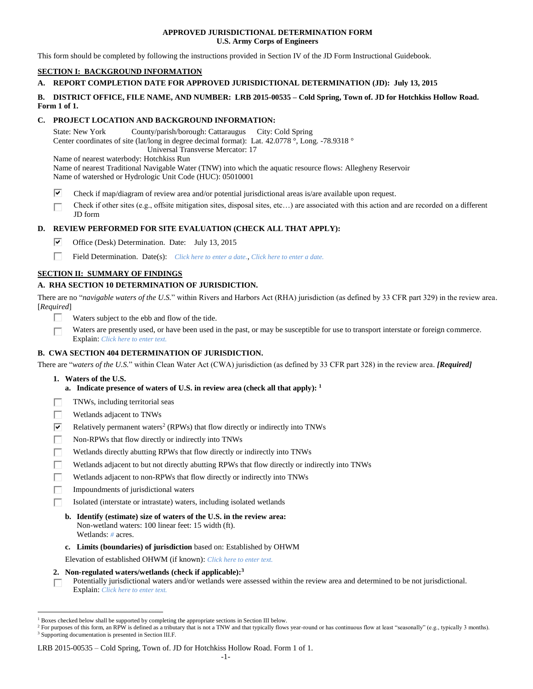## **APPROVED JURISDICTIONAL DETERMINATION FORM U.S. Army Corps of Engineers**

This form should be completed by following the instructions provided in Section IV of the JD Form Instructional Guidebook.

# **SECTION I: BACKGROUND INFORMATION**

# **A. REPORT COMPLETION DATE FOR APPROVED JURISDICTIONAL DETERMINATION (JD): July 13, 2015**

## **B. DISTRICT OFFICE, FILE NAME, AND NUMBER: LRB 2015-00535 – Cold Spring, Town of. JD for Hotchkiss Hollow Road. Form 1 of 1.**

# **C. PROJECT LOCATION AND BACKGROUND INFORMATION:**

State: New York County/parish/borough: Cattaraugus City: Cold Spring Center coordinates of site (lat/long in degree decimal format): Lat. 42.0778 °, Long. -78.9318 ° Universal Transverse Mercator: 17 Name of nearest waterbody: Hotchkiss Run

Name of nearest Traditional Navigable Water (TNW) into which the aquatic resource flows: Allegheny Reservoir Name of watershed or Hydrologic Unit Code (HUC): 05010001

- ☞ Check if map/diagram of review area and/or potential jurisdictional areas is/are available upon request.
- Check if other sites (e.g., offsite mitigation sites, disposal sites, etc…) are associated with this action and are recorded on a different JD form

# **D. REVIEW PERFORMED FOR SITE EVALUATION (CHECK ALL THAT APPLY):**

- ⊽ Office (Desk) Determination. Date: July 13, 2015
- П. Field Determination. Date(s): *Click here to enter a date.*, *Click here to enter a date.*

# **SECTION II: SUMMARY OF FINDINGS**

# **A. RHA SECTION 10 DETERMINATION OF JURISDICTION.**

There are no "*navigable waters of the U.S.*" within Rivers and Harbors Act (RHA) jurisdiction (as defined by 33 CFR part 329) in the review area. [*Required*]

- П. Waters subject to the ebb and flow of the tide.
- Waters are presently used, or have been used in the past, or may be susceptible for use to transport interstate or foreign commerce. г Explain: *Click here to enter text.*

## **B. CWA SECTION 404 DETERMINATION OF JURISDICTION.**

There are "*waters of the U.S.*" within Clean Water Act (CWA) jurisdiction (as defined by 33 CFR part 328) in the review area. *[Required]*

**1. Waters of the U.S.**

 $\overline{a}$ 

- **a. Indicate presence of waters of U.S. in review area (check all that apply): 1**
- TNWs, including territorial seas г
- Wetlands adjacent to TNWs г
- ☑ Relatively permanent waters<sup>2</sup> (RPWs) that flow directly or indirectly into TNWs
- П Non-RPWs that flow directly or indirectly into TNWs
- п Wetlands directly abutting RPWs that flow directly or indirectly into TNWs
- Wetlands adjacent to but not directly abutting RPWs that flow directly or indirectly into TNWs
- П Wetlands adjacent to non-RPWs that flow directly or indirectly into TNWs
- П Impoundments of jurisdictional waters
	- Isolated (interstate or intrastate) waters, including isolated wetlands
	- **b. Identify (estimate) size of waters of the U.S. in the review area:** Non-wetland waters: 100 linear feet: 15 width (ft). Wetlands: *#* acres.
	- **c. Limits (boundaries) of jurisdiction** based on: Established by OHWM
	- Elevation of established OHWM (if known): *Click here to enter text.*
- **2. Non-regulated waters/wetlands (check if applicable): 3**

Potentially jurisdictional waters and/or wetlands were assessed within the review area and determined to be not jurisdictional. п Explain: *Click here to enter text.*

### LRB 2015-00535 – Cold Spring, Town of. JD for Hotchkiss Hollow Road. Form 1 of 1.

 $<sup>1</sup>$  Boxes checked below shall be supported by completing the appropriate sections in Section III below.</sup>

<sup>&</sup>lt;sup>2</sup> For purposes of this form, an RPW is defined as a tributary that is not a TNW and that typically flows year-round or has continuous flow at least "seasonally" (e.g., typically 3 months). <sup>3</sup> Supporting documentation is presented in Section III.F.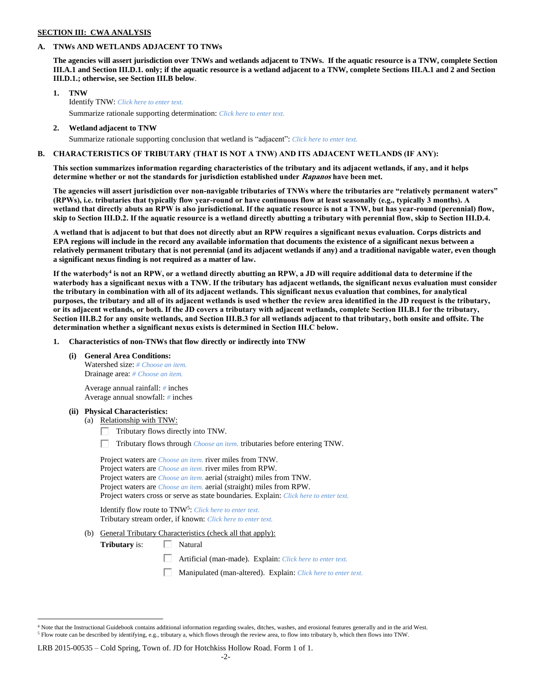## **SECTION III: CWA ANALYSIS**

## **A. TNWs AND WETLANDS ADJACENT TO TNWs**

**The agencies will assert jurisdiction over TNWs and wetlands adjacent to TNWs. If the aquatic resource is a TNW, complete Section III.A.1 and Section III.D.1. only; if the aquatic resource is a wetland adjacent to a TNW, complete Sections III.A.1 and 2 and Section III.D.1.; otherwise, see Section III.B below**.

- **1. TNW**  Identify TNW: *Click here to enter text.* Summarize rationale supporting determination: *Click here to enter text.*
- **2. Wetland adjacent to TNW**

Summarize rationale supporting conclusion that wetland is "adjacent": *Click here to enter text.*

## **B. CHARACTERISTICS OF TRIBUTARY (THAT IS NOT A TNW) AND ITS ADJACENT WETLANDS (IF ANY):**

**This section summarizes information regarding characteristics of the tributary and its adjacent wetlands, if any, and it helps determine whether or not the standards for jurisdiction established under Rapanos have been met.** 

**The agencies will assert jurisdiction over non-navigable tributaries of TNWs where the tributaries are "relatively permanent waters" (RPWs), i.e. tributaries that typically flow year-round or have continuous flow at least seasonally (e.g., typically 3 months). A wetland that directly abuts an RPW is also jurisdictional. If the aquatic resource is not a TNW, but has year-round (perennial) flow, skip to Section III.D.2. If the aquatic resource is a wetland directly abutting a tributary with perennial flow, skip to Section III.D.4.**

**A wetland that is adjacent to but that does not directly abut an RPW requires a significant nexus evaluation. Corps districts and EPA regions will include in the record any available information that documents the existence of a significant nexus between a relatively permanent tributary that is not perennial (and its adjacent wetlands if any) and a traditional navigable water, even though a significant nexus finding is not required as a matter of law.**

**If the waterbody<sup>4</sup> is not an RPW, or a wetland directly abutting an RPW, a JD will require additional data to determine if the waterbody has a significant nexus with a TNW. If the tributary has adjacent wetlands, the significant nexus evaluation must consider the tributary in combination with all of its adjacent wetlands. This significant nexus evaluation that combines, for analytical purposes, the tributary and all of its adjacent wetlands is used whether the review area identified in the JD request is the tributary, or its adjacent wetlands, or both. If the JD covers a tributary with adjacent wetlands, complete Section III.B.1 for the tributary, Section III.B.2 for any onsite wetlands, and Section III.B.3 for all wetlands adjacent to that tributary, both onsite and offsite. The determination whether a significant nexus exists is determined in Section III.C below.**

**1. Characteristics of non-TNWs that flow directly or indirectly into TNW**

**(i) General Area Conditions:**

Watershed size: *# Choose an item.* Drainage area: *# Choose an item.*

Average annual rainfall: *#* inches Average annual snowfall: *#* inches

### **(ii) Physical Characteristics:**

 $\overline{a}$ 

- (a) Relationship with TNW:
	- $\Box$  Tributary flows directly into TNW.

Tributary flows through *Choose an item.* tributaries before entering TNW.

Project waters are *Choose an item.* river miles from TNW. Project waters are *Choose an item.* river miles from RPW. Project waters are *Choose an item.* aerial (straight) miles from TNW. Project waters are *Choose an item.* aerial (straight) miles from RPW. Project waters cross or serve as state boundaries. Explain: *Click here to enter text.*

Identify flow route to TNW<sup>5</sup>: Click here to enter text. Tributary stream order, if known: *Click here to enter text.*

(b) General Tributary Characteristics (check all that apply):

**Tributary** is:  $\Box$  Natural

- Artificial (man-made). Explain: *Click here to enter text.*
- Manipulated (man-altered). Explain: *Click here to enter text.*

<sup>&</sup>lt;sup>4</sup> Note that the Instructional Guidebook contains additional information regarding swales, ditches, washes, and erosional features generally and in the arid West. <sup>5</sup> Flow route can be described by identifying, e.g., tributary a, which flows through the review area, to flow into tributary b, which then flows into TNW.

LRB 2015-00535 – Cold Spring, Town of. JD for Hotchkiss Hollow Road. Form 1 of 1.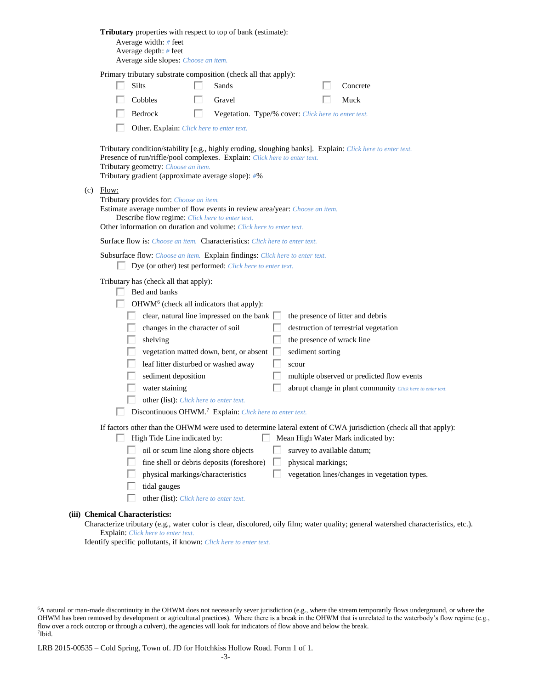|     | Tributary properties with respect to top of bank (estimate):<br>Average width: # feet<br>Average depth: $#$ feet<br>Average side slopes: Choose an item.                                                                                                                                                                                                                                                                                                                                                                                                                                                                                                                                                         |  |
|-----|------------------------------------------------------------------------------------------------------------------------------------------------------------------------------------------------------------------------------------------------------------------------------------------------------------------------------------------------------------------------------------------------------------------------------------------------------------------------------------------------------------------------------------------------------------------------------------------------------------------------------------------------------------------------------------------------------------------|--|
|     | Primary tributary substrate composition (check all that apply):                                                                                                                                                                                                                                                                                                                                                                                                                                                                                                                                                                                                                                                  |  |
|     | Silts<br>Sands<br>Concrete                                                                                                                                                                                                                                                                                                                                                                                                                                                                                                                                                                                                                                                                                       |  |
|     | Cobbles<br>Gravel<br>Muck                                                                                                                                                                                                                                                                                                                                                                                                                                                                                                                                                                                                                                                                                        |  |
|     | Bedrock<br>ш<br>Vegetation. Type/% cover: Click here to enter text.                                                                                                                                                                                                                                                                                                                                                                                                                                                                                                                                                                                                                                              |  |
|     | Other. Explain: Click here to enter text.                                                                                                                                                                                                                                                                                                                                                                                                                                                                                                                                                                                                                                                                        |  |
|     | Tributary condition/stability [e.g., highly eroding, sloughing banks]. Explain: Click here to enter text.<br>Presence of run/riffle/pool complexes. Explain: Click here to enter text.<br>Tributary geometry: Choose an item.<br>Tributary gradient (approximate average slope): #%                                                                                                                                                                                                                                                                                                                                                                                                                              |  |
| (c) | Flow:<br>Tributary provides for: Choose an item.<br>Estimate average number of flow events in review area/year: Choose an item.<br>Describe flow regime: Click here to enter text.<br>Other information on duration and volume: Click here to enter text.                                                                                                                                                                                                                                                                                                                                                                                                                                                        |  |
|     | <b>Surface flow is:</b> <i>Choose an item.</i> <b>Characteristics:</b> <i>Click here to enter text.</i>                                                                                                                                                                                                                                                                                                                                                                                                                                                                                                                                                                                                          |  |
|     | Subsurface flow: Choose an item. Explain findings: Click here to enter text.<br>Dye (or other) test performed: Click here to enter text.                                                                                                                                                                                                                                                                                                                                                                                                                                                                                                                                                                         |  |
|     | Tributary has (check all that apply):<br>Bed and banks<br>OHWM <sup>6</sup> (check all indicators that apply):<br>clear, natural line impressed on the bank [<br>the presence of litter and debris<br>changes in the character of soil<br>destruction of terrestrial vegetation<br>shelving<br>the presence of wrack line<br>vegetation matted down, bent, or absent<br>sediment sorting<br>leaf litter disturbed or washed away<br>scour<br>sediment deposition<br>multiple observed or predicted flow events<br>water staining<br>abrupt change in plant community Click here to enter text.<br>other (list): Click here to enter text.<br>Discontinuous OHWM. <sup>7</sup> Explain: Click here to enter text. |  |
|     | If factors other than the OHWM were used to determine lateral extent of CWA jurisdiction (check all that apply):                                                                                                                                                                                                                                                                                                                                                                                                                                                                                                                                                                                                 |  |
|     | High Tide Line indicated by:<br>Mean High Water Mark indicated by:                                                                                                                                                                                                                                                                                                                                                                                                                                                                                                                                                                                                                                               |  |
|     | oil or scum line along shore objects<br>survey to available datum;                                                                                                                                                                                                                                                                                                                                                                                                                                                                                                                                                                                                                                               |  |
|     | fine shell or debris deposits (foreshore)<br>physical markings;                                                                                                                                                                                                                                                                                                                                                                                                                                                                                                                                                                                                                                                  |  |
|     | physical markings/characteristics<br>vegetation lines/changes in vegetation types.<br>tidal gauges                                                                                                                                                                                                                                                                                                                                                                                                                                                                                                                                                                                                               |  |
|     | other (list): Click here to enter text.                                                                                                                                                                                                                                                                                                                                                                                                                                                                                                                                                                                                                                                                          |  |
|     |                                                                                                                                                                                                                                                                                                                                                                                                                                                                                                                                                                                                                                                                                                                  |  |
|     | (iii) Chemical Characteristics:<br>Characterize tributary (e.g., water color is clear, discolored, oily film; water quality; general watershed characteristics, etc.).                                                                                                                                                                                                                                                                                                                                                                                                                                                                                                                                           |  |
|     | <b>Explain:</b> Click here to enter text.                                                                                                                                                                                                                                                                                                                                                                                                                                                                                                                                                                                                                                                                        |  |

Identify specific pollutants, if known: *Click here to enter text.*

 $\overline{a}$ 

<sup>6</sup>A natural or man-made discontinuity in the OHWM does not necessarily sever jurisdiction (e.g., where the stream temporarily flows underground, or where the OHWM has been removed by development or agricultural practices). Where there is a break in the OHWM that is unrelated to the waterbody's flow regime (e.g., flow over a rock outcrop or through a culvert), the agencies will look for indicators of flow above and below the break. 7 Ibid.

LRB 2015-00535 – Cold Spring, Town of. JD for Hotchkiss Hollow Road. Form 1 of 1.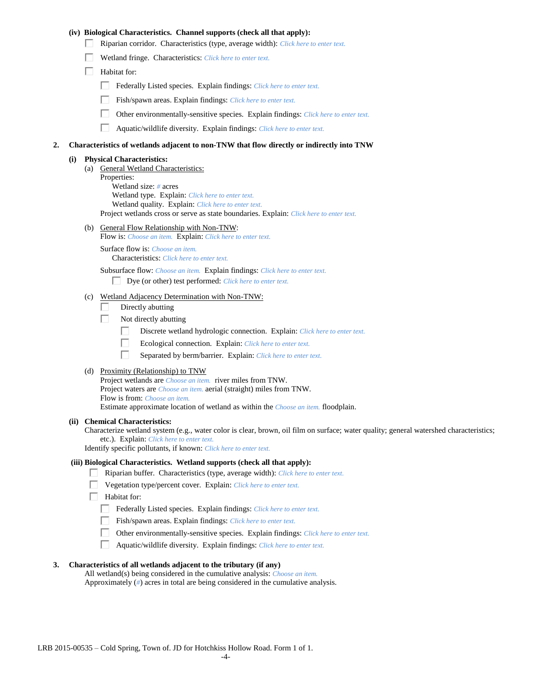## **(iv) Biological Characteristics. Channel supports (check all that apply):**

- Riparian corridor. Characteristics (type, average width): *Click here to enter text.*
- Wetland fringe. Characteristics: *Click here to enter text.*
- $\Box$  Habitat for:
	- Federally Listed species. Explain findings: *Click here to enter text.*
	- Fish/spawn areas. Explain findings: *Click here to enter text.*
	- $\Box$ Other environmentally-sensitive species. Explain findings: *Click here to enter text.*
	- П Aquatic/wildlife diversity. Explain findings: *Click here to enter text.*

### **2. Characteristics of wetlands adjacent to non-TNW that flow directly or indirectly into TNW**

#### **(i) Physical Characteristics:**

- (a) General Wetland Characteristics: Properties: Wetland size: *#* acres Wetland type. Explain: *Click here to enter text.* Wetland quality. Explain: *Click here to enter text.* Project wetlands cross or serve as state boundaries. Explain: *Click here to enter text.*
- (b) General Flow Relationship with Non-TNW:
	- Flow is: *Choose an item.* Explain: *Click here to enter text.*

Surface flow is: *Choose an item.* Characteristics: *Click here to enter text.*

Subsurface flow: *Choose an item.* Explain findings: *Click here to enter text.*

Dye (or other) test performed: *Click here to enter text.*

## (c) Wetland Adjacency Determination with Non-TNW:

- П Directly abutting
- Г. Not directly abutting
	- П. Discrete wetland hydrologic connection. Explain: *Click here to enter text.*
	- П. Ecological connection. Explain: *Click here to enter text.*
	- П. Separated by berm/barrier. Explain: *Click here to enter text.*
- (d) Proximity (Relationship) to TNW

Project wetlands are *Choose an item.* river miles from TNW. Project waters are *Choose an item.* aerial (straight) miles from TNW. Flow is from: *Choose an item.* Estimate approximate location of wetland as within the *Choose an item.* floodplain.

#### **(ii) Chemical Characteristics:**

Characterize wetland system (e.g., water color is clear, brown, oil film on surface; water quality; general watershed characteristics; etc.). Explain: *Click here to enter text.*

Identify specific pollutants, if known: *Click here to enter text.*

### **(iii) Biological Characteristics. Wetland supports (check all that apply):**

- Riparian buffer. Characteristics (type, average width): *Click here to enter text.*
	- Vegetation type/percent cover. Explain: *Click here to enter text.*
	- Habitat for:
	- Federally Listed species. Explain findings: *Click here to enter text*.
	- Fish/spawn areas. Explain findings: *Click here to enter text.*
	- Other environmentally-sensitive species. Explain findings: *Click here to enter text.*
	- $\Box$ Aquatic/wildlife diversity. Explain findings: *Click here to enter text.*

## **3. Characteristics of all wetlands adjacent to the tributary (if any)**

All wetland(s) being considered in the cumulative analysis: *Choose an item.* Approximately (*#*) acres in total are being considered in the cumulative analysis.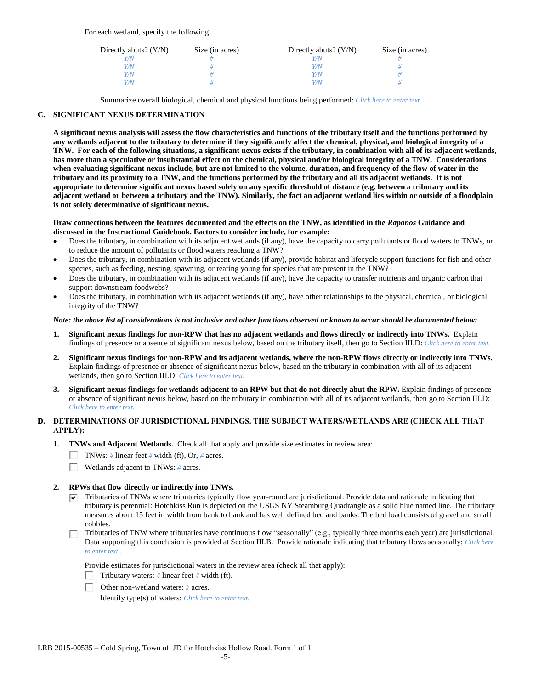For each wetland, specify the following:

| Directly abuts? $(Y/N)$ | Size (in acres) | Directly abuts? $(Y/N)$ | Size (in acres) |
|-------------------------|-----------------|-------------------------|-----------------|
|                         |                 |                         |                 |
| Y/N                     |                 | Y/N                     |                 |
| Y/N                     |                 | $\sqrt{N}$              |                 |
|                         |                 | $\alpha$                |                 |

Summarize overall biological, chemical and physical functions being performed: *Click here to enter text.*

## **C. SIGNIFICANT NEXUS DETERMINATION**

**A significant nexus analysis will assess the flow characteristics and functions of the tributary itself and the functions performed by any wetlands adjacent to the tributary to determine if they significantly affect the chemical, physical, and biological integrity of a TNW. For each of the following situations, a significant nexus exists if the tributary, in combination with all of its adjacent wetlands, has more than a speculative or insubstantial effect on the chemical, physical and/or biological integrity of a TNW. Considerations when evaluating significant nexus include, but are not limited to the volume, duration, and frequency of the flow of water in the tributary and its proximity to a TNW, and the functions performed by the tributary and all its adjacent wetlands. It is not appropriate to determine significant nexus based solely on any specific threshold of distance (e.g. between a tributary and its adjacent wetland or between a tributary and the TNW). Similarly, the fact an adjacent wetland lies within or outside of a floodplain is not solely determinative of significant nexus.** 

### **Draw connections between the features documented and the effects on the TNW, as identified in the** *Rapanos* **Guidance and discussed in the Instructional Guidebook. Factors to consider include, for example:**

- Does the tributary, in combination with its adjacent wetlands (if any), have the capacity to carry pollutants or flood waters to TNWs, or to reduce the amount of pollutants or flood waters reaching a TNW?
- Does the tributary, in combination with its adjacent wetlands (if any), provide habitat and lifecycle support functions for fish and other species, such as feeding, nesting, spawning, or rearing young for species that are present in the TNW?
- Does the tributary, in combination with its adjacent wetlands (if any), have the capacity to transfer nutrients and organic carbon that support downstream foodwebs?
- Does the tributary, in combination with its adjacent wetlands (if any), have other relationships to the physical, chemical, or biological integrity of the TNW?

## *Note: the above list of considerations is not inclusive and other functions observed or known to occur should be documented below:*

- **1. Significant nexus findings for non-RPW that has no adjacent wetlands and flows directly or indirectly into TNWs.** Explain findings of presence or absence of significant nexus below, based on the tributary itself, then go to Section III.D: *Click here to enter text.*
- **2. Significant nexus findings for non-RPW and its adjacent wetlands, where the non-RPW flows directly or indirectly into TNWs.**  Explain findings of presence or absence of significant nexus below, based on the tributary in combination with all of its adjacent wetlands, then go to Section III.D: *Click here to enter text.*
- **3. Significant nexus findings for wetlands adjacent to an RPW but that do not directly abut the RPW.** Explain findings of presence or absence of significant nexus below, based on the tributary in combination with all of its adjacent wetlands, then go to Section III.D: *Click here to enter text.*

## **D. DETERMINATIONS OF JURISDICTIONAL FINDINGS. THE SUBJECT WATERS/WETLANDS ARE (CHECK ALL THAT APPLY):**

- **1. TNWs and Adjacent Wetlands.** Check all that apply and provide size estimates in review area:
	- TNWs: *#* linear feet *#* width (ft), Or, *#* acres.
	- $\Box$ Wetlands adjacent to TNWs: *#* acres.

## **2. RPWs that flow directly or indirectly into TNWs.**

- $\nabla$  Tributaries of TNWs where tributaries typically flow year-round are jurisdictional. Provide data and rationale indicating that tributary is perennial: Hotchkiss Run is depicted on the USGS NY Steamburg Quadrangle as a solid blue named line. The tributary measures about 15 feet in width from bank to bank and has well defined bed and banks. The bed load consists of gravel and small cobbles.
- Tributaries of TNW where tributaries have continuous flow "seasonally" (e.g., typically three months each year) are jurisdictional. Data supporting this conclusion is provided at Section III.B. Provide rationale indicating that tributary flows seasonally: *Click here to enter text.*.

Provide estimates for jurisdictional waters in the review area (check all that apply):

- Tributary waters:  $\#$  linear feet  $\#$  width (ft).
- Other non-wetland waters: *#* acres.

Identify type(s) of waters: *Click here to enter text.*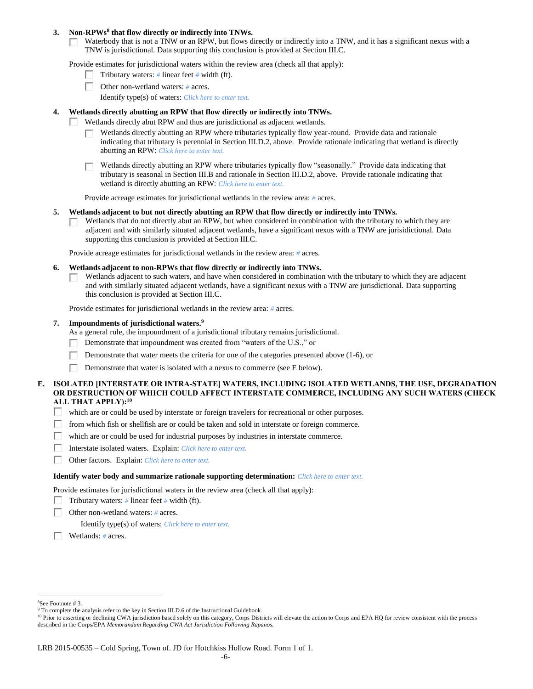## **3. Non-RPWs<sup>8</sup> that flow directly or indirectly into TNWs.**

Waterbody that is not a TNW or an RPW, but flows directly or indirectly into a TNW, and it has a significant nexus with a Г. TNW is jurisdictional. Data supporting this conclusion is provided at Section III.C.

Provide estimates for jurisdictional waters within the review area (check all that apply):

- Tributary waters: *#* linear feet *#* width (ft).  $\mathbf{L}$
- Other non-wetland waters: *#* acres.
	- Identify type(s) of waters: *Click here to enter text.*

## **4. Wetlands directly abutting an RPW that flow directly or indirectly into TNWs.**

- Wetlands directly abut RPW and thus are jurisdictional as adjacent wetlands. п
	- Wetlands directly abutting an RPW where tributaries typically flow year-round. Provide data and rationale indicating that tributary is perennial in Section III.D.2, above. Provide rationale indicating that wetland is directly abutting an RPW: *Click here to enter text.*

Wetlands directly abutting an RPW where tributaries typically flow "seasonally." Provide data indicating that tributary is seasonal in Section III.B and rationale in Section III.D.2, above. Provide rationale indicating that wetland is directly abutting an RPW: *Click here to enter text.*

Provide acreage estimates for jurisdictional wetlands in the review area: *#* acres.

## **5. Wetlands adjacent to but not directly abutting an RPW that flow directly or indirectly into TNWs.**

Wetlands that do not directly abut an RPW, but when considered in combination with the tributary to which they are  $\mathbf{I}$ adjacent and with similarly situated adjacent wetlands, have a significant nexus with a TNW are jurisidictional. Data supporting this conclusion is provided at Section III.C.

Provide acreage estimates for jurisdictional wetlands in the review area: *#* acres.

## **6. Wetlands adjacent to non-RPWs that flow directly or indirectly into TNWs.**

Wetlands adjacent to such waters, and have when considered in combination with the tributary to which they are adjacent П and with similarly situated adjacent wetlands, have a significant nexus with a TNW are jurisdictional. Data supporting this conclusion is provided at Section III.C.

Provide estimates for jurisdictional wetlands in the review area: *#* acres.

## **7. Impoundments of jurisdictional waters. 9**

As a general rule, the impoundment of a jurisdictional tributary remains jurisdictional.

- П Demonstrate that impoundment was created from "waters of the U.S.," or
- Demonstrate that water meets the criteria for one of the categories presented above (1-6), or
- Г Demonstrate that water is isolated with a nexus to commerce (see E below).

## **E. ISOLATED [INTERSTATE OR INTRA-STATE] WATERS, INCLUDING ISOLATED WETLANDS, THE USE, DEGRADATION OR DESTRUCTION OF WHICH COULD AFFECT INTERSTATE COMMERCE, INCLUDING ANY SUCH WATERS (CHECK ALL THAT APPLY):<sup>10</sup>**

- Π. which are or could be used by interstate or foreign travelers for recreational or other purposes.
- from which fish or shellfish are or could be taken and sold in interstate or foreign commerce. П.
- П which are or could be used for industrial purposes by industries in interstate commerce.
- П. Interstate isolated waters.Explain: *Click here to enter text.*
- П. Other factors.Explain: *Click here to enter text.*

#### **Identify water body and summarize rationale supporting determination:** *Click here to enter text.*

Provide estimates for jurisdictional waters in the review area (check all that apply):

- Tributary waters:  $\#$  linear feet  $\#$  width (ft).
- Other non-wetland waters: *#* acres.

Identify type(s) of waters: *Click here to enter text.*

Wetlands: *#* acres.

 $\overline{a}$ 

<sup>8</sup>See Footnote # 3.

<sup>&</sup>lt;sup>9</sup> To complete the analysis refer to the key in Section III.D.6 of the Instructional Guidebook.

<sup>&</sup>lt;sup>10</sup> Prior to asserting or declining CWA jurisdiction based solely on this category, Corps Districts will elevate the action to Corps and EPA HQ for review consistent with the process described in the Corps/EPA *Memorandum Regarding CWA Act Jurisdiction Following Rapanos.*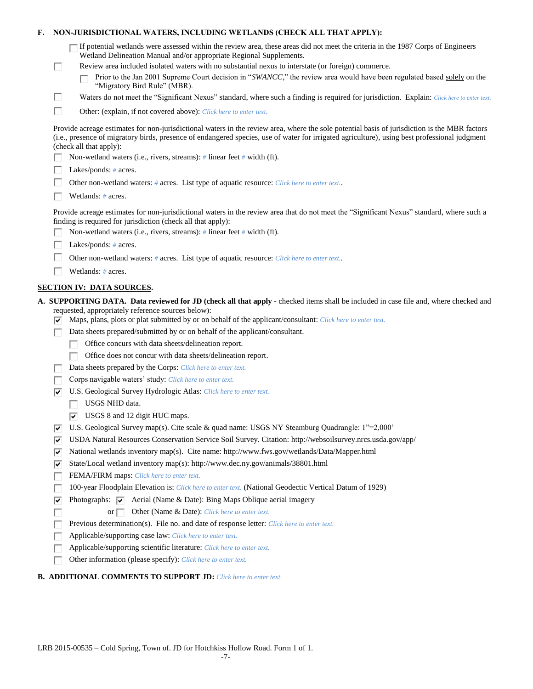| F.                                                                                                                                                                                                         | NON-JURISDICTIONAL WATERS, INCLUDING WETLANDS (CHECK ALL THAT APPLY): |                                                                                                                                                                                                                                                                                                                                                                                                                                                                           |  |  |
|------------------------------------------------------------------------------------------------------------------------------------------------------------------------------------------------------------|-----------------------------------------------------------------------|---------------------------------------------------------------------------------------------------------------------------------------------------------------------------------------------------------------------------------------------------------------------------------------------------------------------------------------------------------------------------------------------------------------------------------------------------------------------------|--|--|
|                                                                                                                                                                                                            | $\Box$                                                                | If potential wetlands were assessed within the review area, these areas did not meet the criteria in the 1987 Corps of Engineers<br>Wetland Delineation Manual and/or appropriate Regional Supplements.<br>Review area included isolated waters with no substantial nexus to interstate (or foreign) commerce.<br>Prior to the Jan 2001 Supreme Court decision in "SWANCC," the review area would have been regulated based solely on the<br>"Migratory Bird Rule" (MBR). |  |  |
|                                                                                                                                                                                                            | □                                                                     | Waters do not meet the "Significant Nexus" standard, where such a finding is required for jurisdiction. Explain: Click here to enter text.                                                                                                                                                                                                                                                                                                                                |  |  |
|                                                                                                                                                                                                            | □                                                                     | Other: (explain, if not covered above): Click here to enter text.                                                                                                                                                                                                                                                                                                                                                                                                         |  |  |
|                                                                                                                                                                                                            |                                                                       | Provide acreage estimates for non-jurisdictional waters in the review area, where the sole potential basis of jurisdiction is the MBR factors<br>(i.e., presence of migratory birds, presence of endangered species, use of water for irrigated agriculture), using best professional judgment<br>(check all that apply):                                                                                                                                                 |  |  |
|                                                                                                                                                                                                            |                                                                       | Non-wetland waters (i.e., rivers, streams): # linear feet # width (ft).                                                                                                                                                                                                                                                                                                                                                                                                   |  |  |
|                                                                                                                                                                                                            |                                                                       | Lakes/ponds: $# \, \text{acres.}$                                                                                                                                                                                                                                                                                                                                                                                                                                         |  |  |
|                                                                                                                                                                                                            |                                                                       | Other non-wetland waters: # acres. List type of aquatic resource: Click here to enter text                                                                                                                                                                                                                                                                                                                                                                                |  |  |
|                                                                                                                                                                                                            | Wetlands: # acres.                                                    |                                                                                                                                                                                                                                                                                                                                                                                                                                                                           |  |  |
| Provide acreage estimates for non-jurisdictional waters in the review area that do not meet the "Significant Nexus" standard, where such a<br>finding is required for jurisdiction (check all that apply): |                                                                       |                                                                                                                                                                                                                                                                                                                                                                                                                                                                           |  |  |
|                                                                                                                                                                                                            |                                                                       | Non-wetland waters (i.e., rivers, streams): $\#$ linear feet $\#$ width (ft).                                                                                                                                                                                                                                                                                                                                                                                             |  |  |
|                                                                                                                                                                                                            |                                                                       | Lakes/ponds: $# \, \text{acres.}$                                                                                                                                                                                                                                                                                                                                                                                                                                         |  |  |
|                                                                                                                                                                                                            |                                                                       | Other non-wetland waters: # acres. List type of aquatic resource: Click here to enter text                                                                                                                                                                                                                                                                                                                                                                                |  |  |
|                                                                                                                                                                                                            |                                                                       | Wetlands: # acres.                                                                                                                                                                                                                                                                                                                                                                                                                                                        |  |  |
|                                                                                                                                                                                                            |                                                                       | <b>SECTION IV: DATA SOURCES.</b>                                                                                                                                                                                                                                                                                                                                                                                                                                          |  |  |
|                                                                                                                                                                                                            | ▽                                                                     | A. SUPPORTING DATA. Data reviewed for JD (check all that apply - checked items shall be included in case file and, where checked and<br>requested, appropriately reference sources below):<br>Maps, plans, plots or plat submitted by or on behalf of the applicant/consultant: Click here to enter text.                                                                                                                                                                 |  |  |
|                                                                                                                                                                                                            |                                                                       | Data sheets prepared/submitted by or on behalf of the applicant/consultant.                                                                                                                                                                                                                                                                                                                                                                                               |  |  |
|                                                                                                                                                                                                            |                                                                       | Office concurs with data sheets/delineation report.                                                                                                                                                                                                                                                                                                                                                                                                                       |  |  |
|                                                                                                                                                                                                            |                                                                       | Office does not concur with data sheets/delineation report.                                                                                                                                                                                                                                                                                                                                                                                                               |  |  |
|                                                                                                                                                                                                            |                                                                       | Data sheets prepared by the Corps: Click here to enter text.                                                                                                                                                                                                                                                                                                                                                                                                              |  |  |
|                                                                                                                                                                                                            |                                                                       | Corps navigable waters' study: Click here to enter text.                                                                                                                                                                                                                                                                                                                                                                                                                  |  |  |
|                                                                                                                                                                                                            | ⊽                                                                     | U.S. Geological Survey Hydrologic Atlas: Click here to enter text.                                                                                                                                                                                                                                                                                                                                                                                                        |  |  |
|                                                                                                                                                                                                            |                                                                       | USGS NHD data.                                                                                                                                                                                                                                                                                                                                                                                                                                                            |  |  |
|                                                                                                                                                                                                            |                                                                       | $\overline{\triangledown}$ USGS 8 and 12 digit HUC maps.                                                                                                                                                                                                                                                                                                                                                                                                                  |  |  |
|                                                                                                                                                                                                            | ∣V                                                                    | U.S. Geological Survey map(s). Cite scale & quad name: USGS NY Steamburg Quadrangle: 1"=2,000"                                                                                                                                                                                                                                                                                                                                                                            |  |  |
|                                                                                                                                                                                                            | ⊽                                                                     | USDA Natural Resources Conservation Service Soil Survey. Citation: http://websoilsurvey.nrcs.usda.gov/app/<br>National wetlands inventory map(s). Cite name: http://www.fws.gov/wetlands/Data/Mapper.html                                                                                                                                                                                                                                                                 |  |  |
|                                                                                                                                                                                                            | ∣V                                                                    |                                                                                                                                                                                                                                                                                                                                                                                                                                                                           |  |  |
|                                                                                                                                                                                                            | ⊽                                                                     | State/Local wetland inventory map(s): http://www.dec.ny.gov/animals/38801.html                                                                                                                                                                                                                                                                                                                                                                                            |  |  |
|                                                                                                                                                                                                            |                                                                       | FEMA/FIRM maps: Click here to enter text.<br>100-year Floodplain Elevation is: Click here to enter text. (National Geodectic Vertical Datum of 1929)                                                                                                                                                                                                                                                                                                                      |  |  |
|                                                                                                                                                                                                            |                                                                       | Photographs: $\overline{\blacktriangledown}$ Aerial (Name & Date): Bing Maps Oblique aerial imagery                                                                                                                                                                                                                                                                                                                                                                       |  |  |
|                                                                                                                                                                                                            | ⊽                                                                     | or $\Box$<br>Other (Name & Date): Click here to enter text.                                                                                                                                                                                                                                                                                                                                                                                                               |  |  |
|                                                                                                                                                                                                            |                                                                       | Previous determination(s). File no. and date of response letter: Click here to enter text.                                                                                                                                                                                                                                                                                                                                                                                |  |  |
|                                                                                                                                                                                                            |                                                                       | Applicable/supporting case law: Click here to enter text.                                                                                                                                                                                                                                                                                                                                                                                                                 |  |  |
|                                                                                                                                                                                                            |                                                                       | Applicable/supporting scientific literature: Click here to enter text.                                                                                                                                                                                                                                                                                                                                                                                                    |  |  |
|                                                                                                                                                                                                            |                                                                       | Other information (please specify): Click here to enter text.                                                                                                                                                                                                                                                                                                                                                                                                             |  |  |
|                                                                                                                                                                                                            |                                                                       |                                                                                                                                                                                                                                                                                                                                                                                                                                                                           |  |  |

## **B. ADDITIONAL COMMENTS TO SUPPORT JD:** *Click here to enter text.*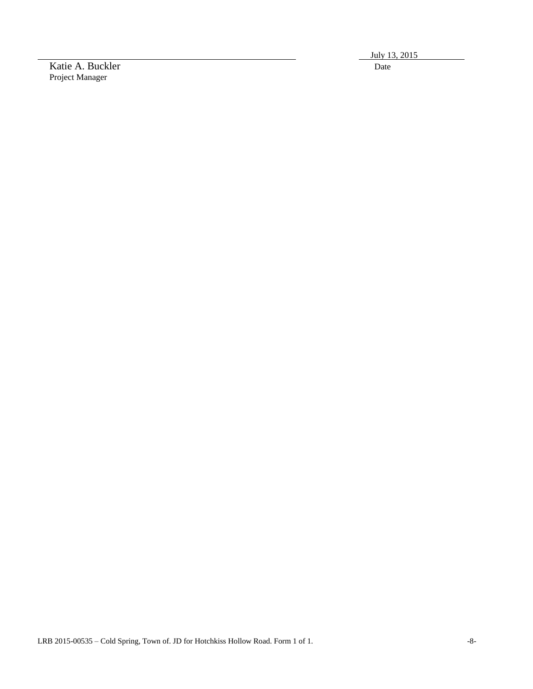Katie A. Buckler Date Project Manager

July 13, 2015